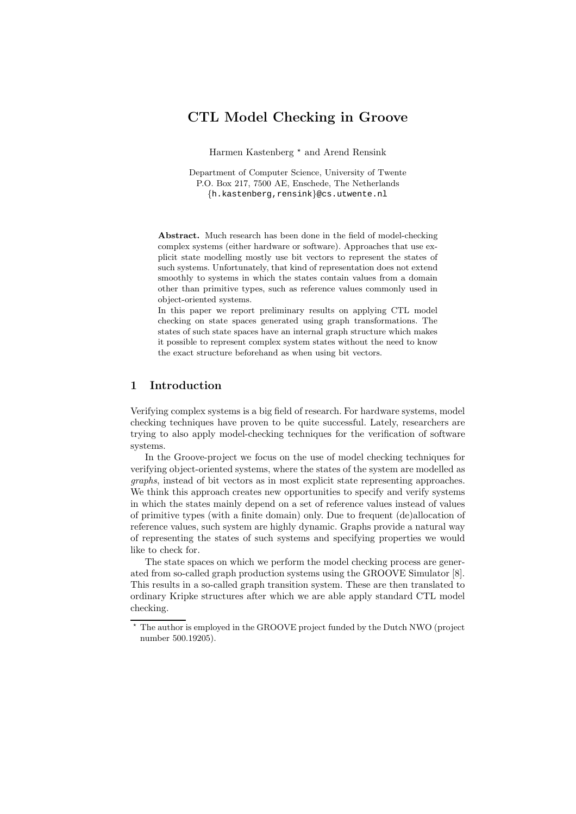# CTL Model Checking in Groove

Harmen Kastenberg $^\star$  and Arend Rensink

Department of Computer Science, University of Twente P.O. Box 217, 7500 AE, Enschede, The Netherlands {h.kastenberg,rensink}@cs.utwente.nl

Abstract. Much research has been done in the field of model-checking complex systems (either hardware or software). Approaches that use explicit state modelling mostly use bit vectors to represent the states of such systems. Unfortunately, that kind of representation does not extend smoothly to systems in which the states contain values from a domain other than primitive types, such as reference values commonly used in object-oriented systems.

In this paper we report preliminary results on applying CTL model checking on state spaces generated using graph transformations. The states of such state spaces have an internal graph structure which makes it possible to represent complex system states without the need to know the exact structure beforehand as when using bit vectors.

## 1 Introduction

Verifying complex systems is a big field of research. For hardware systems, model checking techniques have proven to be quite successful. Lately, researchers are trying to also apply model-checking techniques for the verification of software systems.

In the Groove-project we focus on the use of model checking techniques for verifying object-oriented systems, where the states of the system are modelled as graphs, instead of bit vectors as in most explicit state representing approaches. We think this approach creates new opportunities to specify and verify systems in which the states mainly depend on a set of reference values instead of values of primitive types (with a finite domain) only. Due to frequent (de)allocation of reference values, such system are highly dynamic. Graphs provide a natural way of representing the states of such systems and specifying properties we would like to check for.

The state spaces on which we perform the model checking process are generated from so-called graph production systems using the GROOVE Simulator [8]. This results in a so-called graph transition system. These are then translated to ordinary Kripke structures after which we are able apply standard CTL model checking.

<sup>?</sup> The author is employed in the GROOVE project funded by the Dutch NWO (project number 500.19205).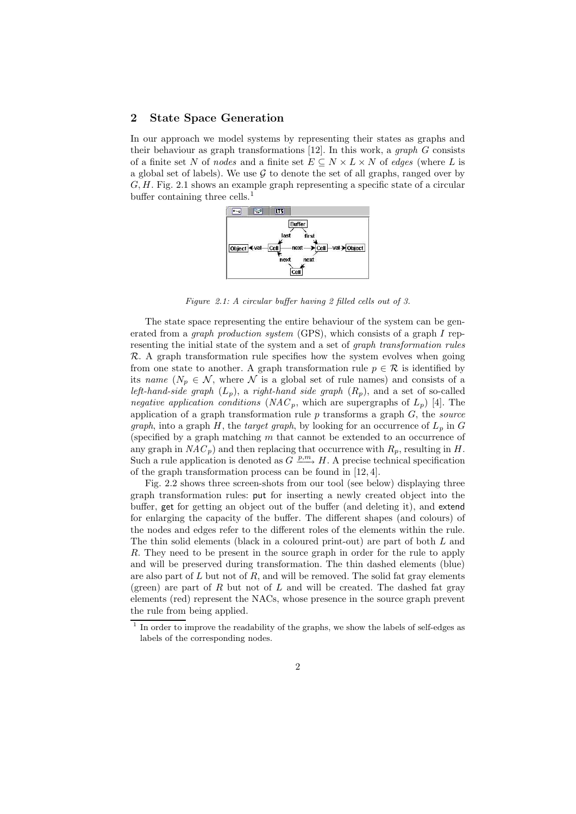#### 2 State Space Generation

In our approach we model systems by representing their states as graphs and their behaviour as graph transformations [12]. In this work, a *graph*  $G$  consists of a finite set N of nodes and a finite set  $E \subseteq N \times L \times N$  of edges (where L is a global set of labels). We use  $G$  to denote the set of all graphs, ranged over by  $G, H$ . Fig. 2.1 shows an example graph representing a specific state of a circular buffer containing three cells.<sup>1</sup>



Figure 2.1: A circular buffer having 2 filled cells out of 3.

The state space representing the entire behaviour of the system can be generated from a *graph production system* (GPS), which consists of a graph I representing the initial state of the system and a set of *graph transformation rules*  $\mathcal{R}$ . A graph transformation rule specifies how the system evolves when going from one state to another. A graph transformation rule  $p \in \mathcal{R}$  is identified by its name ( $N_p \in \mathcal{N}$ , where  $\mathcal N$  is a global set of rule names) and consists of a left-hand-side graph  $(L_p)$ , a right-hand side graph  $(R_p)$ , and a set of so-called negative application conditions  $(NAC_p,$  which are supergraphs of  $L_p$ ) [4]. The application of a graph transformation rule  $p$  transforms a graph  $G$ , the source *graph*, into a graph H, the target graph, by looking for an occurrence of  $L_p$  in G (specified by a graph matching m that cannot be extended to an occurrence of any graph in  $NAC_p$ ) and then replacing that occurrence with  $R_p$ , resulting in H. Such a rule application is denoted as  $G \nightharpoonup^{p,m} H$ . A precise technical specification of the graph transformation process can be found in [12, 4].

Fig. 2.2 shows three screen-shots from our tool (see below) displaying three graph transformation rules: put for inserting a newly created object into the buffer, get for getting an object out of the buffer (and deleting it), and extend for enlarging the capacity of the buffer. The different shapes (and colours) of the nodes and edges refer to the different roles of the elements within the rule. The thin solid elements (black in a coloured print-out) are part of both L and R. They need to be present in the source graph in order for the rule to apply and will be preserved during transformation. The thin dashed elements (blue) are also part of  $L$  but not of  $R$ , and will be removed. The solid fat gray elements (green) are part of R but not of L and will be created. The dashed fat gray elements (red) represent the NACs, whose presence in the source graph prevent the rule from being applied.

 $1$  In order to improve the readability of the graphs, we show the labels of self-edges as labels of the corresponding nodes.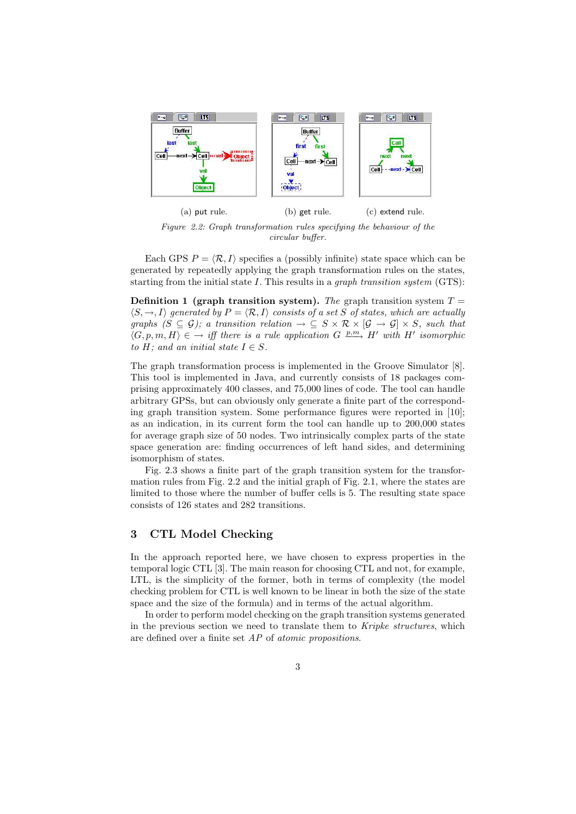

Figure 2.2: Graph transformation rules specifying the behaviour of the circular buffer.

Each GPS  $P = \langle \mathcal{R}, I \rangle$  specifies a (possibly infinite) state space which can be generated by repeatedly applying the graph transformation rules on the states, starting from the initial state I. This results in a *graph transition system* (GTS):

**Definition 1 (graph transition system).** The graph transition system  $T =$  $\langle S, \rightarrow, I \rangle$  generated by  $P = \langle R, I \rangle$  consists of a set S of states, which are actually graphs  $(S \subseteq \mathcal{G})$ ; a transition relation  $\rightarrow \subseteq S \times \mathcal{R} \times [\mathcal{G} \rightarrow \mathcal{G}] \times S$ , such that  $\langle G, p, m, H \rangle \in \mathcal{H}$  iff there is a rule application  $G \stackrel{p,m}{\longrightarrow} H'$  with  $H'$  isomorphic to H; and an initial state  $I \in S$ .

The graph transformation process is implemented in the Groove Simulator [8]. This tool is implemented in Java, and currently consists of 18 packages comprising approximately 400 classes, and 75,000 lines of code. The tool can handle arbitrary GPSs, but can obviously only generate a finite part of the corresponding graph transition system. Some performance figures were reported in [10]; as an indication, in its current form the tool can handle up to 200,000 states for average graph size of 50 nodes. Two intrinsically complex parts of the state space generation are: finding occurrences of left hand sides, and determining isomorphism of states.

Fig. 2.3 shows a finite part of the graph transition system for the transformation rules from Fig. 2.2 and the initial graph of Fig. 2.1, where the states are limited to those where the number of buffer cells is 5. The resulting state space consists of 126 states and 282 transitions.

### 3 CTL Model Checking

In the approach reported here, we have chosen to express properties in the temporal logic CTL [3]. The main reason for choosing CTL and not, for example, LTL, is the simplicity of the former, both in terms of complexity (the model checking problem for CTL is well known to be linear in both the size of the state space and the size of the formula) and in terms of the actual algorithm.

In order to perform model checking on the graph transition systems generated in the previous section we need to translate them to Kripke structures, which are defined over a finite set AP of atomic propositions.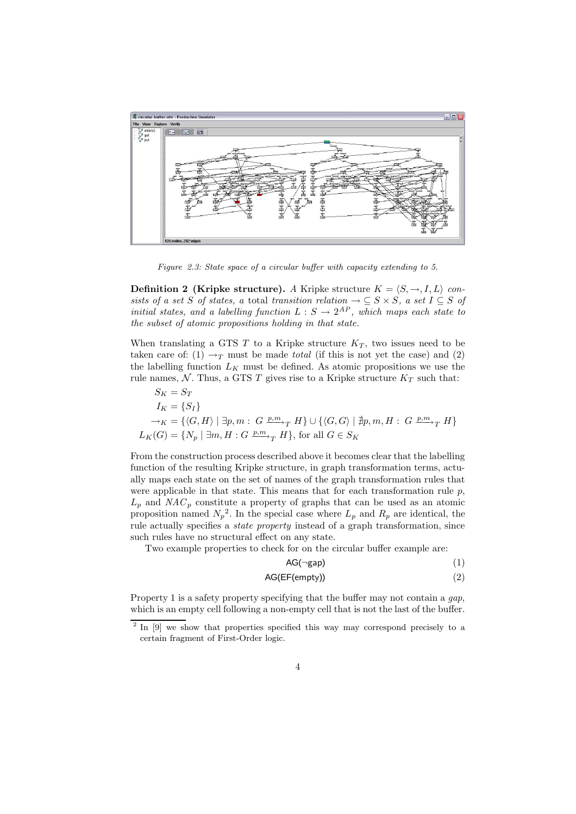

Figure 2.3: State space of a circular buffer with capacity extending to 5.

**Definition 2 (Kripke structure).** A Kripke structure  $K = \langle S, \to, I, L \rangle$  consists of a set S of states, a total transition relation  $\rightarrow \subseteq S \times S$ , a set  $I \subseteq S$  of initial states, and a labelling function  $L : S \to 2^{AP}$ , which maps each state to the subset of atomic propositions holding in that state.

When translating a GTS  $T$  to a Kripke structure  $K_T$ , two issues need to be taken care of: (1)  $\rightarrow_T$  must be made *total* (if this is not yet the case) and (2) the labelling function  $L_K$  must be defined. As atomic propositions we use the rule names,  $N$ . Thus, a GTS T gives rise to a Kripke structure  $K_T$  such that:

$$
S_K = S_T
$$
  
\n
$$
I_K = \{S_I\}
$$
  
\n
$$
\rightarrow_K = \{ \langle G, H \rangle \mid \exists p, m : G \xrightarrow{p,m} {}_T H \} \cup \{ \langle G, G \rangle \mid \nexists p, m, H : G \xrightarrow{p,m} {}_T H \}
$$
  
\n
$$
L_K(G) = \{ N_p \mid \exists m, H : G \xrightarrow{p,m} {}_T H \}, \text{for all } G \in S_K
$$

From the construction process described above it becomes clear that the labelling function of the resulting Kripke structure, in graph transformation terms, actually maps each state on the set of names of the graph transformation rules that were applicable in that state. This means that for each transformation rule  $p$ ,  $L_p$  and  $NAC_p$  constitute a property of graphs that can be used as an atomic proposition named  $N_p^2$ . In the special case where  $L_p$  and  $R_p$  are identical, the rule actually specifies a *state property* instead of a graph transformation, since such rules have no structural effect on any state.

Two example properties to check for on the circular buffer example are:

$$
AG(\neg gap) \tag{1}
$$

$$
AG(EF(empty))
$$
 (2)

Property 1 is a safety property specifying that the buffer may not contain a gap, which is an empty cell following a non-empty cell that is not the last of the buffer.

<sup>&</sup>lt;sup>2</sup> In [9] we show that properties specified this way may correspond precisely to a certain fragment of First-Order logic.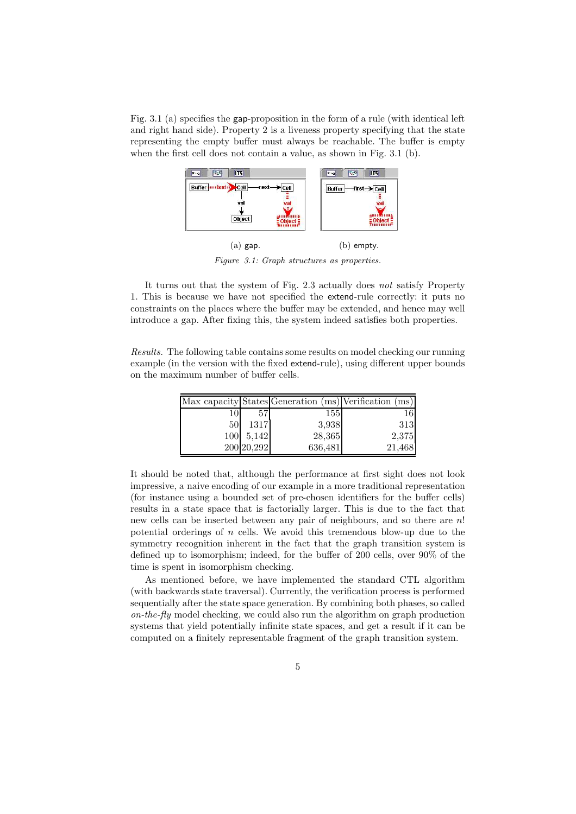Fig. 3.1 (a) specifies the gap-proposition in the form of a rule (with identical left and right hand side). Property 2 is a liveness property specifying that the state representing the empty buffer must always be reachable. The buffer is empty when the first cell does not contain a value, as shown in Fig. 3.1 (b).



Figure 3.1: Graph structures as properties.

It turns out that the system of Fig. 2.3 actually does not satisfy Property 1. This is because we have not specified the extend-rule correctly: it puts no constraints on the places where the buffer may be extended, and hence may well introduce a gap. After fixing this, the system indeed satisfies both properties.

Results. The following table contains some results on model checking our running example (in the version with the fixed extend-rule), using different upper bounds on the maximum number of buffer cells.

|                 |            | Max capacity States Generation (ms) Verification (ms) |        |
|-----------------|------------|-------------------------------------------------------|--------|
| 10              | 57         | 155                                                   | 16     |
| 50 <sup>1</sup> | 1317       | 3,938                                                 | 313    |
| 100             | 5.142      | 28,365                                                | 2,375  |
|                 | 200 20,292 | 636,481                                               | 21,468 |

It should be noted that, although the performance at first sight does not look impressive, a naive encoding of our example in a more traditional representation (for instance using a bounded set of pre-chosen identifiers for the buffer cells) results in a state space that is factorially larger. This is due to the fact that new cells can be inserted between any pair of neighbours, and so there are  $n!$ potential orderings of  $n$  cells. We avoid this tremendous blow-up due to the symmetry recognition inherent in the fact that the graph transition system is defined up to isomorphism; indeed, for the buffer of 200 cells, over 90% of the time is spent in isomorphism checking.

As mentioned before, we have implemented the standard CTL algorithm (with backwards state traversal). Currently, the verification process is performed sequentially after the state space generation. By combining both phases, so called  $on-the-fly$  model checking, we could also run the algorithm on graph production systems that yield potentially infinite state spaces, and get a result if it can be computed on a finitely representable fragment of the graph transition system.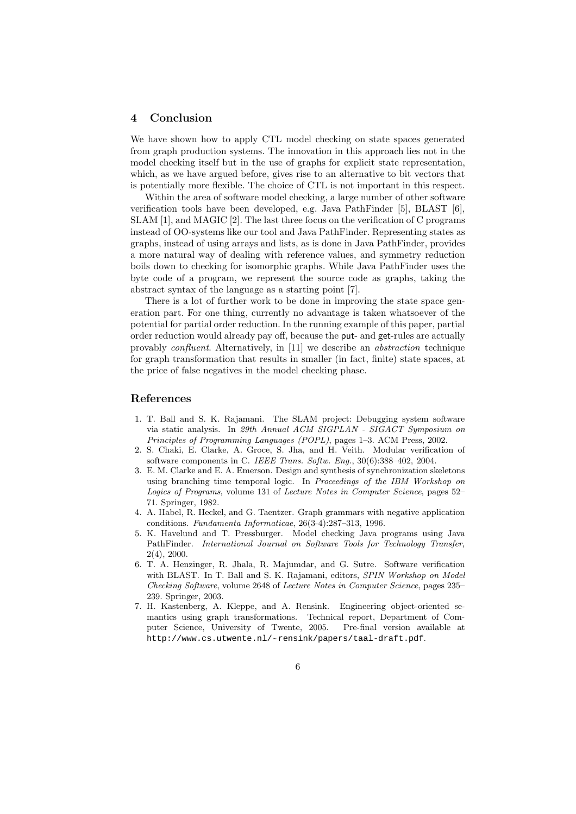#### 4 Conclusion

We have shown how to apply CTL model checking on state spaces generated from graph production systems. The innovation in this approach lies not in the model checking itself but in the use of graphs for explicit state representation, which, as we have argued before, gives rise to an alternative to bit vectors that is potentially more flexible. The choice of CTL is not important in this respect.

Within the area of software model checking, a large number of other software verification tools have been developed, e.g. Java PathFinder [5], BLAST [6], SLAM [1], and MAGIC [2]. The last three focus on the verification of C programs instead of OO-systems like our tool and Java PathFinder. Representing states as graphs, instead of using arrays and lists, as is done in Java PathFinder, provides a more natural way of dealing with reference values, and symmetry reduction boils down to checking for isomorphic graphs. While Java PathFinder uses the byte code of a program, we represent the source code as graphs, taking the abstract syntax of the language as a starting point [7].

There is a lot of further work to be done in improving the state space generation part. For one thing, currently no advantage is taken whatsoever of the potential for partial order reduction. In the running example of this paper, partial order reduction would already pay off, because the put- and get-rules are actually provably confluent. Alternatively, in [11] we describe an abstraction technique for graph transformation that results in smaller (in fact, finite) state spaces, at the price of false negatives in the model checking phase.

#### References

- 1. T. Ball and S. K. Rajamani. The SLAM project: Debugging system software via static analysis. In 29th Annual ACM SIGPLAN - SIGACT Symposium on Principles of Programming Languages (POPL), pages 1–3. ACM Press, 2002.
- 2. S. Chaki, E. Clarke, A. Groce, S. Jha, and H. Veith. Modular verification of software components in C. IEEE Trans. Softw. Eng., 30(6):388–402, 2004.
- 3. E. M. Clarke and E. A. Emerson. Design and synthesis of synchronization skeletons using branching time temporal logic. In Proceedings of the IBM Workshop on Logics of Programs, volume 131 of Lecture Notes in Computer Science, pages 52– 71. Springer, 1982.
- 4. A. Habel, R. Heckel, and G. Taentzer. Graph grammars with negative application conditions. Fundamenta Informaticae, 26(3-4):287–313, 1996.
- 5. K. Havelund and T. Pressburger. Model checking Java programs using Java PathFinder. International Journal on Software Tools for Technology Transfer,  $2(4)$ , 2000.
- 6. T. A. Henzinger, R. Jhala, R. Majumdar, and G. Sutre. Software verification with BLAST. In T. Ball and S. K. Rajamani, editors, SPIN Workshop on Model Checking Software, volume 2648 of Lecture Notes in Computer Science, pages 235– 239. Springer, 2003.
- 7. H. Kastenberg, A. Kleppe, and A. Rensink. Engineering object-oriented semantics using graph transformations. Technical report, Department of Computer Science, University of Twente, 2005. Pre-final version available at http://www.cs.utwente.nl/˜ rensink/papers/taal-draft.pdf.